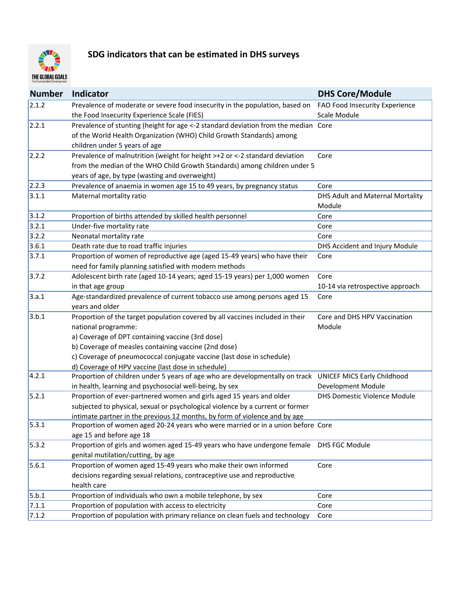

## **SDG indicators that can be estimated in DHS surveys**

| <b>Number</b> | <b>Indicator</b>                                                                                         | <b>DHS Core/Module</b>           |
|---------------|----------------------------------------------------------------------------------------------------------|----------------------------------|
| 2.1.2         | Prevalence of moderate or severe food insecurity in the population, based on                             | FAO Food Insecurity Experience   |
|               | the Food Insecurity Experience Scale (FIES)                                                              | Scale Module                     |
| 2.2.1         | Prevalence of stunting (height for age <-2 standard deviation from the median Core                       |                                  |
|               | of the World Health Organization (WHO) Child Growth Standards) among                                     |                                  |
|               | children under 5 years of age                                                                            |                                  |
| 2.2.2         | Prevalence of malnutrition (weight for height >+2 or <-2 standard deviation                              | Core                             |
|               | from the median of the WHO Child Growth Standards) among children under 5                                |                                  |
|               | years of age, by type (wasting and overweight)                                                           |                                  |
| 2.2.3         | Prevalence of anaemia in women age 15 to 49 years, by pregnancy status                                   | Core                             |
| 3.1.1         | Maternal mortality ratio                                                                                 | DHS Adult and Maternal Mortality |
|               |                                                                                                          | Module                           |
| 3.1.2         | Proportion of births attended by skilled health personnel                                                | Core                             |
| 3.2.1         | Under-five mortality rate                                                                                | Core                             |
| 3.2.2         | Neonatal mortality rate                                                                                  | Core                             |
| 3.6.1         | Death rate due to road traffic injuries                                                                  | DHS Accident and Injury Module   |
| 3.7.1         | Proportion of women of reproductive age (aged 15-49 years) who have their                                | Core                             |
|               | need for family planning satisfied with modern methods                                                   |                                  |
| 3.7.2         | Adolescent birth rate (aged 10-14 years; aged 15-19 years) per 1,000 women                               | Core                             |
|               | in that age group                                                                                        | 10-14 via retrospective approach |
| 3.a.1         | Age-standardized prevalence of current tobacco use among persons aged 15                                 | Core                             |
|               | years and older                                                                                          |                                  |
| 3.b.1         | Proportion of the target population covered by all vaccines included in their                            | Core and DHS HPV Vaccination     |
|               | national programme:                                                                                      | Module                           |
|               | a) Coverage of DPT containing vaccine (3rd dose)                                                         |                                  |
|               | b) Coverage of measles containing vaccine (2nd dose)                                                     |                                  |
|               | c) Coverage of pneumococcal conjugate vaccine (last dose in schedule)                                    |                                  |
|               | d) Coverage of HPV vaccine (last dose in schedule)                                                       |                                  |
| 4.2.1         | Proportion of children under 5 years of age who are developmentally on track UNICEF MICS Early Childhood |                                  |
|               | in health, learning and psychosocial well-being, by sex                                                  | Development Module               |
| 5.2.1         | Proportion of ever-partnered women and girls aged 15 years and older                                     | DHS Domestic Violence Module     |
|               | subjected to physical, sexual or psychological violence by a current or former                           |                                  |
|               | intimate partner in the previous 12 months, by form of violence and by age                               |                                  |
| 5.3.1         | Proportion of women aged 20-24 years who were married or in a union before Core                          |                                  |
|               | age 15 and before age 18                                                                                 |                                  |
| 5.3.2         | Proportion of girls and women aged 15-49 years who have undergone female                                 | DHS FGC Module                   |
|               | genital mutilation/cutting, by age                                                                       |                                  |
| 5.6.1         | Proportion of women aged 15-49 years who make their own informed                                         | Core                             |
|               | decisions regarding sexual relations, contraceptive use and reproductive                                 |                                  |
|               | health care                                                                                              |                                  |
| 5.b.1         | Proportion of individuals who own a mobile telephone, by sex                                             | Core                             |
| 7.1.1         | Proportion of population with access to electricity                                                      | Core                             |
| 7.1.2         | Proportion of population with primary reliance on clean fuels and technology                             | Core                             |